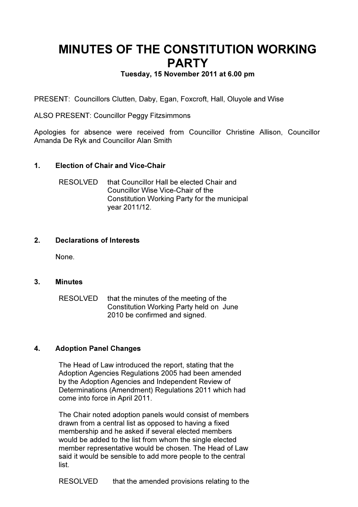# MINUTES OF THE CONSTITUTION WORKING PARTY

## Tuesday, 15 November 2011 at 6.00 pm

PRESENT: Councillors Clutten, Daby, Egan, Foxcroft, Hall, Oluyole and Wise

ALSO PRESENT: Councillor Peggy Fitzsimmons

Apologies for absence were received from Councillor Christine Allison, Councillor Amanda De Ryk and Councillor Alan Smith

### 1. Election of Chair and Vice-Chair

RESOLVED that Councillor Hall be elected Chair and Councillor Wise Vice-Chair of the Constitution Working Party for the municipal year 2011/12.

#### 2. Declarations of Interests

None.

#### 3. Minutes

RESOLVED that the minutes of the meeting of the Constitution Working Party held on June 2010 be confirmed and signed.

#### 4. Adoption Panel Changes

The Head of Law introduced the report, stating that the Adoption Agencies Regulations 2005 had been amended by the Adoption Agencies and Independent Review of Determinations (Amendment) Regulations 2011 which had come into force in April 2011.

The Chair noted adoption panels would consist of members drawn from a central list as opposed to having a fixed membership and he asked if several elected members would be added to the list from whom the single elected member representative would be chosen. The Head of Law said it would be sensible to add more people to the central list.

RESOLVED that the amended provisions relating to the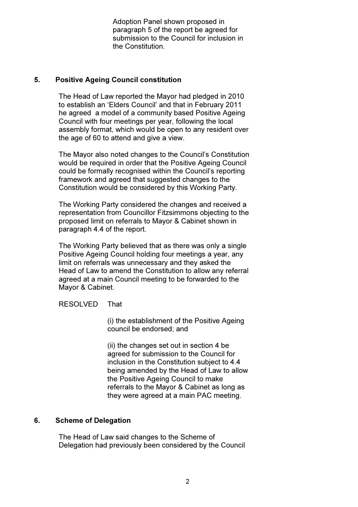Adoption Panel shown proposed in paragraph 5 of the report be agreed for submission to the Council for inclusion in the Constitution.

#### 5. Positive Ageing Council constitution

The Head of Law reported the Mayor had pledged in 2010 to establish an 'Elders Council' and that in February 2011 he agreed a model of a community based Positive Ageing Council with four meetings per year, following the local assembly format, which would be open to any resident over the age of 60 to attend and give a view.

The Mayor also noted changes to the Council's Constitution would be required in order that the Positive Ageing Council could be formally recognised within the Council's reporting framework and agreed that suggested changes to the Constitution would be considered by this Working Party.

The Working Party considered the changes and received a representation from Councillor Fitzsimmons objecting to the proposed limit on referrals to Mayor & Cabinet shown in paragraph 4.4 of the report.

The Working Party believed that as there was only a single Positive Ageing Council holding four meetings a year, any limit on referrals was unnecessary and they asked the Head of Law to amend the Constitution to allow any referral agreed at a main Council meeting to be forwarded to the Mayor & Cabinet.

RESOLVED That

 (i) the establishment of the Positive Ageing council be endorsed; and

 (ii) the changes set out in section 4 be agreed for submission to the Council for inclusion in the Constitution subject to 4.4 being amended by the Head of Law to allow the Positive Ageing Council to make referrals to the Mayor & Cabinet as long as they were agreed at a main PAC meeting.

#### 6. Scheme of Delegation

The Head of Law said changes to the Scheme of Delegation had previously been considered by the Council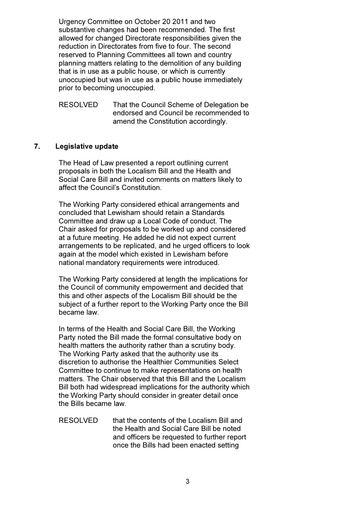Urgency Committee on October 20 2011 and two substantive changes had been recommended. The first allowed for changed Directorate responsibilities given the reduction in Directorates from five to four. The second reserved to Planning Committees all town and country planning matters relating to the demolition of any building that is in use as a public house, or which is currently unoccupied but was in use as a public house immediately prior to becoming unoccupied.

RESOLVED That the Council Scheme of Delegation be endorsed and Council be recommended to amend the Constitution accordingly.

### 7. Legislative update

The Head of Law presented a report outlining current proposals in both the Localism Bill and the Health and Social Care Bill and invited comments on matters likely to affect the Council's Constitution.

The Working Party considered ethical arrangements and concluded that Lewisham should retain a Standards Committee and draw up a Local Code of conduct. The Chair asked for proposals to be worked up and considered at a future meeting. He added he did not expect current arrangements to be replicated, and he urged officers to look again at the model which existed in Lewisham before national mandatory requirements were introduced.

The Working Party considered at length the implications for the Council of community empowerment and decided that this and other aspects of the Localism Bill should be the subject of a further report to the Working Party once the Bill became law.

In terms of the Health and Social Care Bill, the Working Party noted the Bill made the formal consultative body on health matters the authority rather than a scrutiny body. The Working Party asked that the authority use its discretion to authorise the Healthier Communities Select Committee to continue to make representations on health matters. The Chair observed that this Bill and the Localism Bill both had widespread implications for the authority which the Working Party should consider in greater detail once the Bills became law.

RESOLVED that the contents of the Localism Bill and the Health and Social Care Bill be noted and officers be requested to further report once the Bills had been enacted setting